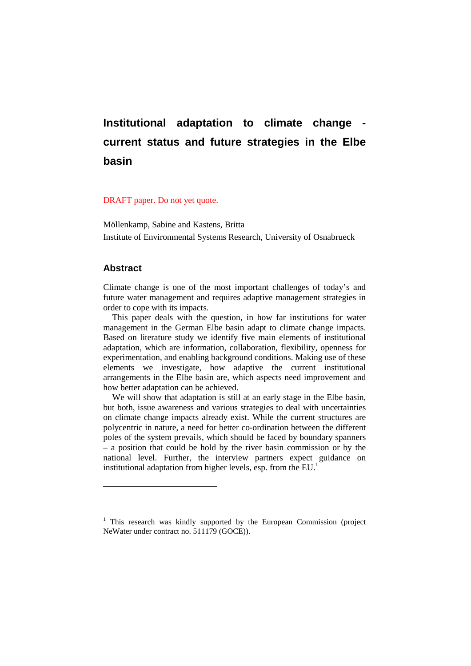# **Institutional adaptation to climate change current status and future strategies in the Elbe basin**

#### DRAFT paper. Do not yet quote.

Möllenkamp, Sabine and Kastens, Britta Institute of Environmental Systems Research, University of Osnabrueck

#### **Abstract**

 $\overline{a}$ 

Climate change is one of the most important challenges of today's and future water management and requires adaptive management strategies in order to cope with its impacts.

This paper deals with the question, in how far institutions for water management in the German Elbe basin adapt to climate change impacts. Based on literature study we identify five main elements of institutional adaptation, which are information, collaboration, flexibility, openness for experimentation, and enabling background conditions. Making use of these elements we investigate, how adaptive the current institutional arrangements in the Elbe basin are, which aspects need improvement and how better adaptation can be achieved.

We will show that adaptation is still at an early stage in the Elbe basin, but both, issue awareness and various strategies to deal with uncertainties on climate change impacts already exist. While the current structures are polycentric in nature, a need for better co-ordination between the different poles of the system prevails, which should be faced by boundary spanners – a position that could be hold by the river basin commission or by the national level. Further, the interview partners expect guidance on institutional adaptation from higher levels, esp. from the EU.<sup>1</sup>

<sup>&</sup>lt;sup>1</sup> This research was kindly supported by the European Commission (project NeWater under contract no. 511179 (GOCE)).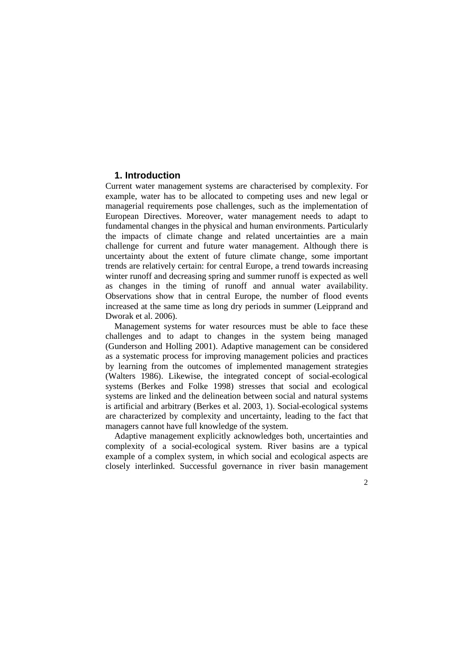#### **1. Introduction**

Current water management systems are characterised by complexity. For example, water has to be allocated to competing uses and new legal or managerial requirements pose challenges, such as the implementation of European Directives. Moreover, water management needs to adapt to fundamental changes in the physical and human environments. Particularly the impacts of climate change and related uncertainties are a main challenge for current and future water management. Although there is uncertainty about the extent of future climate change, some important trends are relatively certain: for central Europe, a trend towards increasing winter runoff and decreasing spring and summer runoff is expected as well as changes in the timing of runoff and annual water availability. Observations show that in central Europe, the number of flood events increased at the same time as long dry periods in summer (Leipprand and Dworak et al. 2006).

Management systems for water resources must be able to face these challenges and to adapt to changes in the system being managed (Gunderson and Holling 2001). Adaptive management can be considered as a systematic process for improving management policies and practices by learning from the outcomes of implemented management strategies (Walters 1986). Likewise, the integrated concept of social-ecological systems (Berkes and Folke 1998) stresses that social and ecological systems are linked and the delineation between social and natural systems is artificial and arbitrary (Berkes et al. 2003, 1). Social-ecological systems are characterized by complexity and uncertainty, leading to the fact that managers cannot have full knowledge of the system.

Adaptive management explicitly acknowledges both, uncertainties and complexity of a social-ecological system. River basins are a typical example of a complex system, in which social and ecological aspects are closely interlinked. Successful governance in river basin management

 $\mathcal{D}_{\alpha}$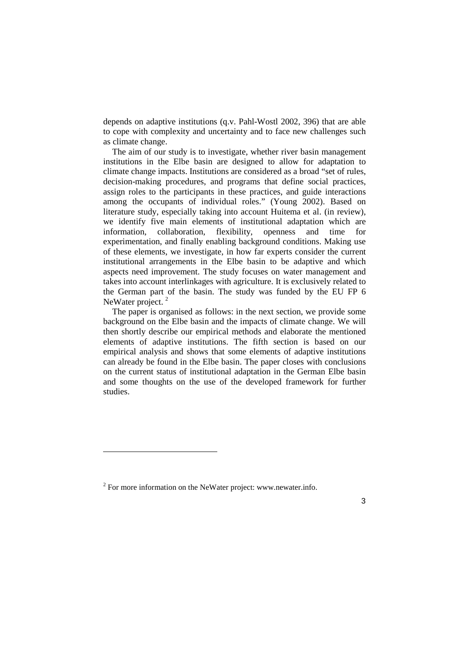depends on adaptive institutions (q.v. Pahl-Wostl 2002, 396) that are able to cope with complexity and uncertainty and to face new challenges such as climate change.

The aim of our study is to investigate, whether river basin management institutions in the Elbe basin are designed to allow for adaptation to climate change impacts. Institutions are considered as a broad "set of rules, decision-making procedures, and programs that define social practices, assign roles to the participants in these practices, and guide interactions among the occupants of individual roles." (Young 2002). Based on literature study, especially taking into account Huitema et al. (in review), we identify five main elements of institutional adaptation which are information, collaboration, flexibility, openness and time for experimentation, and finally enabling background conditions. Making use of these elements, we investigate, in how far experts consider the current institutional arrangements in the Elbe basin to be adaptive and which aspects need improvement. The study focuses on water management and takes into account interlinkages with agriculture. It is exclusively related to the German part of the basin. The study was funded by the EU FP 6 NeWater project.<sup>2</sup>

The paper is organised as follows: in the next section, we provide some background on the Elbe basin and the impacts of climate change. We will then shortly describe our empirical methods and elaborate the mentioned elements of adaptive institutions. The fifth section is based on our empirical analysis and shows that some elements of adaptive institutions can already be found in the Elbe basin. The paper closes with conclusions on the current status of institutional adaptation in the German Elbe basin and some thoughts on the use of the developed framework for further studies.

 $\overline{a}$ 

 $2^{2}$  For more information on the NeWater project: www.newater.info.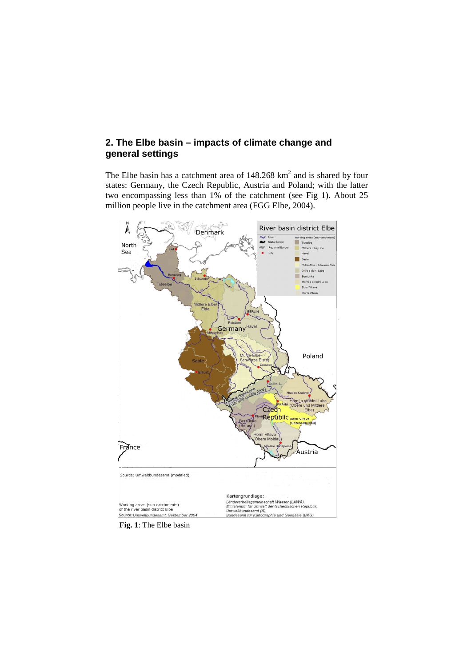## **2. The Elbe basin – impacts of climate change and general settings**

The Elbe basin has a catchment area of  $148.268 \text{ km}^2$  and is shared by four states: Germany, the Czech Republic, Austria and Poland; with the latter two encompassing less than 1% of the catchment (see Fig 1). About 25 million people live in the catchment area (FGG Elbe, 2004).



 **Fig. 1**: The Elbe basin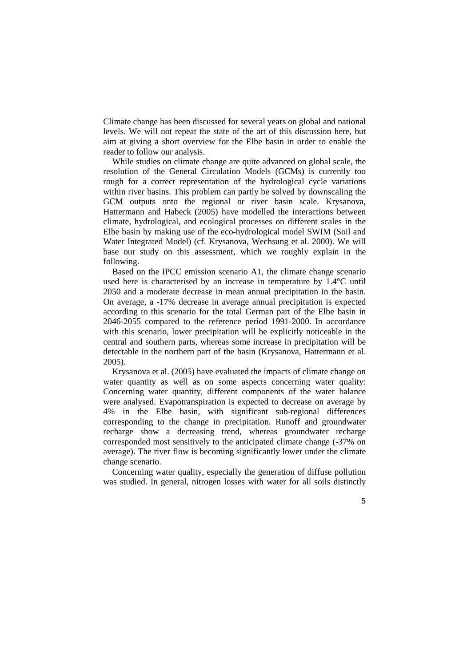Climate change has been discussed for several years on global and national levels. We will not repeat the state of the art of this discussion here, but aim at giving a short overview for the Elbe basin in order to enable the reader to follow our analysis.

While studies on climate change are quite advanced on global scale, the resolution of the General Circulation Models (GCMs) is currently too rough for a correct representation of the hydrological cycle variations within river basins. This problem can partly be solved by downscaling the GCM outputs onto the regional or river basin scale. Krysanova, Hattermann and Habeck (2005) have modelled the interactions between climate, hydrological, and ecological processes on different scales in the Elbe basin by making use of the eco-hydrological model SWIM (Soil and Water Integrated Model) (cf. Krysanova, Wechsung et al. 2000). We will base our study on this assessment, which we roughly explain in the following.

Based on the IPCC emission scenario A1, the climate change scenario used here is characterised by an increase in temperature by 1.4°C until 2050 and a moderate decrease in mean annual precipitation in the basin. On average, a -17% decrease in average annual precipitation is expected according to this scenario for the total German part of the Elbe basin in 2046-2055 compared to the reference period 1991-2000. In accordance with this scenario, lower precipitation will be explicitly noticeable in the central and southern parts, whereas some increase in precipitation will be detectable in the northern part of the basin (Krysanova, Hattermann et al. 2005).

Krysanova et al. (2005) have evaluated the impacts of climate change on water quantity as well as on some aspects concerning water quality: Concerning water quantity, different components of the water balance were analysed. Evapotranspiration is expected to decrease on average by 4% in the Elbe basin, with significant sub-regional differences corresponding to the change in precipitation. Runoff and groundwater recharge show a decreasing trend, whereas groundwater recharge corresponded most sensitively to the anticipated climate change (-37% on average). The river flow is becoming significantly lower under the climate change scenario.

Concerning water quality, especially the generation of diffuse pollution was studied. In general, nitrogen losses with water for all soils distinctly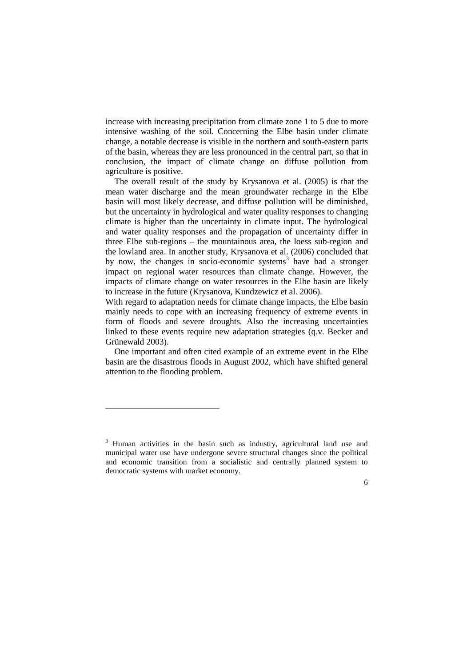increase with increasing precipitation from climate zone 1 to 5 due to more intensive washing of the soil. Concerning the Elbe basin under climate change, a notable decrease is visible in the northern and south-eastern parts of the basin, whereas they are less pronounced in the central part, so that in conclusion, the impact of climate change on diffuse pollution from agriculture is positive.

The overall result of the study by Krysanova et al. (2005) is that the mean water discharge and the mean groundwater recharge in the Elbe basin will most likely decrease, and diffuse pollution will be diminished, but the uncertainty in hydrological and water quality responses to changing climate is higher than the uncertainty in climate input. The hydrological and water quality responses and the propagation of uncertainty differ in three Elbe sub-regions – the mountainous area, the loess sub-region and the lowland area. In another study, Krysanova et al. (2006) concluded that by now, the changes in socio-economic systems<sup>3</sup> have had a stronger impact on regional water resources than climate change. However, the impacts of climate change on water resources in the Elbe basin are likely to increase in the future (Krysanova, Kundzewicz et al. 2006).

With regard to adaptation needs for climate change impacts, the Elbe basin mainly needs to cope with an increasing frequency of extreme events in form of floods and severe droughts. Also the increasing uncertainties linked to these events require new adaptation strategies (q.v. Becker and Grünewald 2003).

One important and often cited example of an extreme event in the Elbe basin are the disastrous floods in August 2002, which have shifted general attention to the flooding problem.

 $\overline{a}$ 

<sup>&</sup>lt;sup>3</sup> Human activities in the basin such as industry, agricultural land use and municipal water use have undergone severe structural changes since the political and economic transition from a socialistic and centrally planned system to democratic systems with market economy.

<sup>6</sup>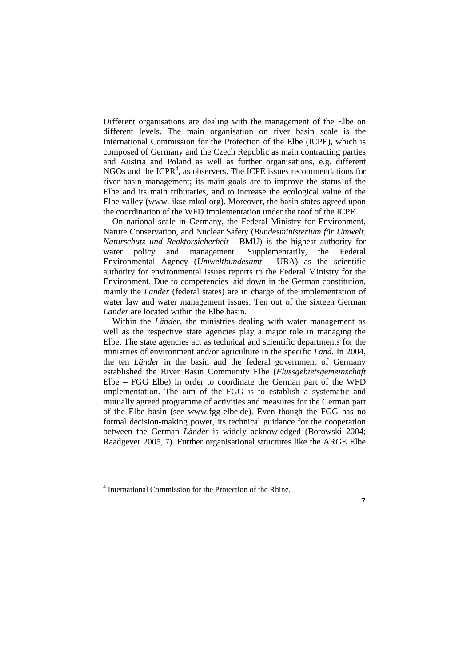Different organisations are dealing with the management of the Elbe on different levels. The main organisation on river basin scale is the International Commission for the Protection of the Elbe (ICPE), which is composed of Germany and the Czech Republic as main contracting parties and Austria and Poland as well as further organisations, e.g. different NGOs and the ICPR $<sup>4</sup>$ , as observers. The ICPE issues recommendations for</sup> river basin management; its main goals are to improve the status of the Elbe and its main tributaries, and to increase the ecological value of the Elbe valley (www. ikse-mkol.org). Moreover, the basin states agreed upon the coordination of the WFD implementation under the roof of the ICPE.

On national scale in Germany, the Federal Ministry for Environment, Nature Conservation, and Nuclear Safety (*Bundesministerium für Umwelt, Naturschutz und Reaktorsicherheit* - BMU) is the highest authority for water policy and management. Supplementarily, the Federal Environmental Agency (*Umweltbundesamt* - UBA) as the scientific authority for environmental issues reports to the Federal Ministry for the Environment. Due to competencies laid down in the German constitution, mainly the *Länder* (federal states) are in charge of the implementation of water law and water management issues. Ten out of the sixteen German *Länder* are located within the Elbe basin.

Within the *Länder*, the ministries dealing with water management as well as the respective state agencies play a major role in managing the Elbe. The state agencies act as technical and scientific departments for the ministries of environment and/or agriculture in the specific *Land*. In 2004, the ten *Länder* in the basin and the federal government of Germany established the River Basin Community Elbe (*Flussgebietsgemeinschaft* Elbe – FGG Elbe) in order to coordinate the German part of the WFD implementation. The aim of the FGG is to establish a systematic and mutually agreed programme of activities and measures for the German part of the Elbe basin (see www.fgg-elbe.de). Even though the FGG has no formal decision-making power, its technical guidance for the cooperation between the German *Länder* is widely acknowledged (Borowski 2004; Raadgever 2005, 7). Further organisational structures like the ARGE Elbe

 $\overline{a}$ 

<sup>4</sup> International Commission for the Protection of the Rhine.

<sup>7</sup>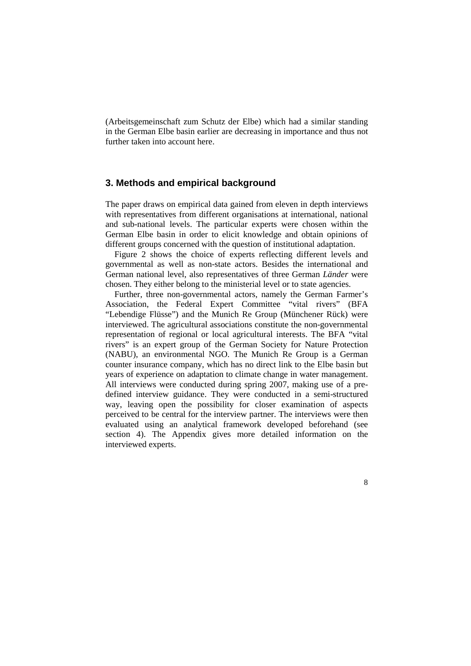(Arbeitsgemeinschaft zum Schutz der Elbe) which had a similar standing in the German Elbe basin earlier are decreasing in importance and thus not further taken into account here.

#### **3. Methods and empirical background**

The paper draws on empirical data gained from eleven in depth interviews with representatives from different organisations at international, national and sub-national levels. The particular experts were chosen within the German Elbe basin in order to elicit knowledge and obtain opinions of different groups concerned with the question of institutional adaptation.

Figure 2 shows the choice of experts reflecting different levels and governmental as well as non-state actors. Besides the international and German national level, also representatives of three German *Länder* were chosen. They either belong to the ministerial level or to state agencies.

Further, three non-governmental actors, namely the German Farmer's Association, the Federal Expert Committee "vital rivers" (BFA "Lebendige Flüsse") and the Munich Re Group (Münchener Rück) were interviewed. The agricultural associations constitute the non-governmental representation of regional or local agricultural interests. The BFA "vital rivers" is an expert group of the German Society for Nature Protection (NABU), an environmental NGO. The Munich Re Group is a German counter insurance company, which has no direct link to the Elbe basin but years of experience on adaptation to climate change in water management. All interviews were conducted during spring 2007, making use of a predefined interview guidance. They were conducted in a semi-structured way, leaving open the possibility for closer examination of aspects perceived to be central for the interview partner. The interviews were then evaluated using an analytical framework developed beforehand (see section 4). The Appendix gives more detailed information on the interviewed experts.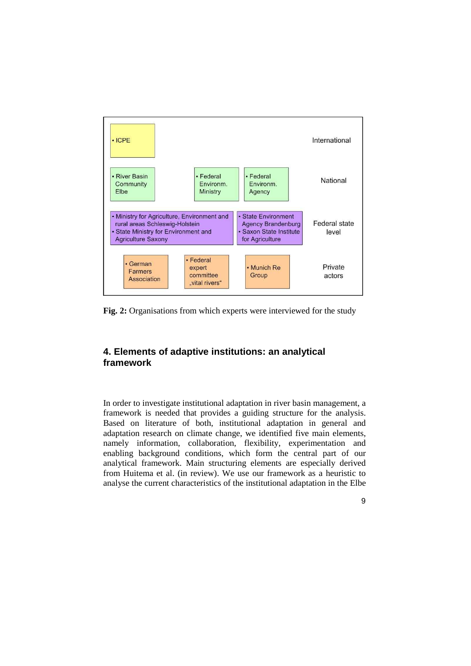

**Fig. 2:** Organisations from which experts were interviewed for the study

## **4. Elements of adaptive institutions: an analytical framework**

In order to investigate institutional adaptation in river basin management, a framework is needed that provides a guiding structure for the analysis. Based on literature of both, institutional adaptation in general and adaptation research on climate change, we identified five main elements, namely information, collaboration, flexibility, experimentation and enabling background conditions, which form the central part of our analytical framework. Main structuring elements are especially derived from Huitema et al. (in review). We use our framework as a heuristic to analyse the current characteristics of the institutional adaptation in the Elbe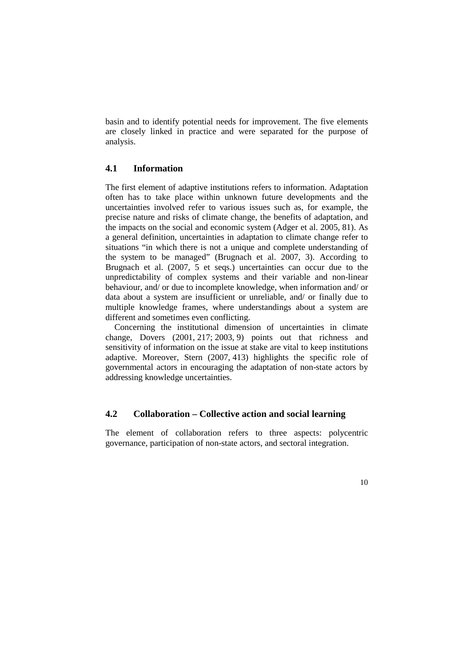basin and to identify potential needs for improvement. The five elements are closely linked in practice and were separated for the purpose of analysis.

#### **4.1 Information**

The first element of adaptive institutions refers to information. Adaptation often has to take place within unknown future developments and the uncertainties involved refer to various issues such as, for example, the precise nature and risks of climate change, the benefits of adaptation, and the impacts on the social and economic system (Adger et al. 2005, 81). As a general definition, uncertainties in adaptation to climate change refer to situations "in which there is not a unique and complete understanding of the system to be managed" (Brugnach et al. 2007, 3). According to Brugnach et al. (2007, 5 et seqs.) uncertainties can occur due to the unpredictability of complex systems and their variable and non-linear behaviour, and/ or due to incomplete knowledge, when information and/ or data about a system are insufficient or unreliable, and/ or finally due to multiple knowledge frames, where understandings about a system are different and sometimes even conflicting.

Concerning the institutional dimension of uncertainties in climate change, Dovers (2001, 217; 2003, 9) points out that richness and sensitivity of information on the issue at stake are vital to keep institutions adaptive. Moreover, Stern (2007, 413) highlights the specific role of governmental actors in encouraging the adaptation of non-state actors by addressing knowledge uncertainties.

## **4.2 Collaboration – Collective action and social learning**

The element of collaboration refers to three aspects: polycentric governance, participation of non-state actors, and sectoral integration.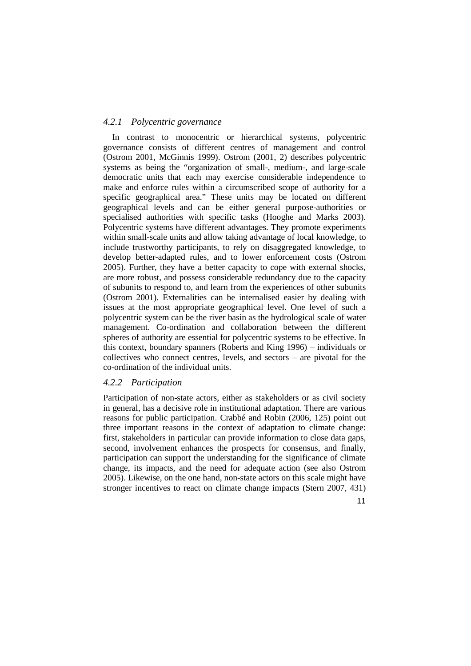#### *4.2.1 Polycentric governance*

In contrast to monocentric or hierarchical systems, polycentric governance consists of different centres of management and control (Ostrom 2001, McGinnis 1999). Ostrom (2001, 2) describes polycentric systems as being the "organization of small-, medium-, and large-scale democratic units that each may exercise considerable independence to make and enforce rules within a circumscribed scope of authority for a specific geographical area." These units may be located on different geographical levels and can be either general purpose-authorities or specialised authorities with specific tasks (Hooghe and Marks 2003). Polycentric systems have different advantages. They promote experiments within small-scale units and allow taking advantage of local knowledge, to include trustworthy participants, to rely on disaggregated knowledge, to develop better-adapted rules, and to lower enforcement costs (Ostrom 2005). Further, they have a better capacity to cope with external shocks, are more robust, and possess considerable redundancy due to the capacity of subunits to respond to, and learn from the experiences of other subunits (Ostrom 2001). Externalities can be internalised easier by dealing with issues at the most appropriate geographical level. One level of such a polycentric system can be the river basin as the hydrological scale of water management. Co-ordination and collaboration between the different spheres of authority are essential for polycentric systems to be effective. In this context, boundary spanners (Roberts and King 1996) – individuals or collectives who connect centres, levels, and sectors – are pivotal for the co-ordination of the individual units.

#### *4.2.2 Participation*

Participation of non-state actors, either as stakeholders or as civil society in general, has a decisive role in institutional adaptation. There are various reasons for public participation. Crabbé and Robin (2006, 125) point out three important reasons in the context of adaptation to climate change: first, stakeholders in particular can provide information to close data gaps, second, involvement enhances the prospects for consensus, and finally, participation can support the understanding for the significance of climate change, its impacts, and the need for adequate action (see also Ostrom 2005). Likewise, on the one hand, non-state actors on this scale might have stronger incentives to react on climate change impacts (Stern 2007, 431)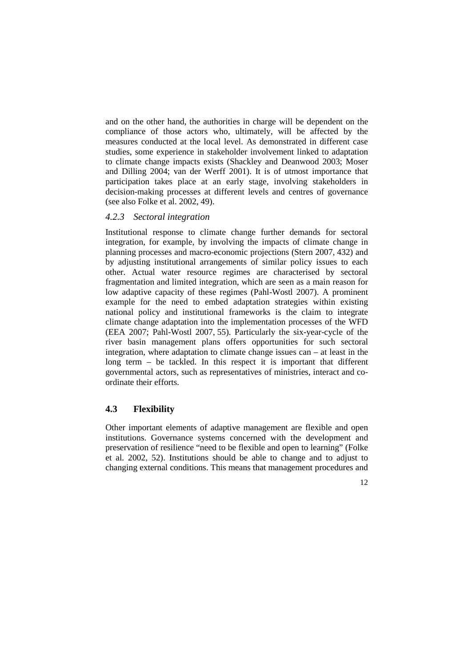and on the other hand, the authorities in charge will be dependent on the compliance of those actors who, ultimately, will be affected by the measures conducted at the local level. As demonstrated in different case studies, some experience in stakeholder involvement linked to adaptation to climate change impacts exists (Shackley and Deanwood 2003; Moser and Dilling 2004; van der Werff 2001). It is of utmost importance that participation takes place at an early stage, involving stakeholders in decision-making processes at different levels and centres of governance (see also Folke et al. 2002, 49).

#### *4.2.3 Sectoral integration*

Institutional response to climate change further demands for sectoral integration, for example, by involving the impacts of climate change in planning processes and macro-economic projections (Stern 2007, 432) and by adjusting institutional arrangements of similar policy issues to each other. Actual water resource regimes are characterised by sectoral fragmentation and limited integration, which are seen as a main reason for low adaptive capacity of these regimes (Pahl-Wostl 2007). A prominent example for the need to embed adaptation strategies within existing national policy and institutional frameworks is the claim to integrate climate change adaptation into the implementation processes of the WFD (EEA 2007; Pahl-Wostl 2007, 55). Particularly the six-year-cycle of the river basin management plans offers opportunities for such sectoral integration, where adaptation to climate change issues can – at least in the long term – be tackled. In this respect it is important that different governmental actors, such as representatives of ministries, interact and coordinate their efforts.

## **4.3 Flexibility**

Other important elements of adaptive management are flexible and open institutions. Governance systems concerned with the development and preservation of resilience "need to be flexible and open to learning" (Folke et al. 2002, 52). Institutions should be able to change and to adjust to changing external conditions. This means that management procedures and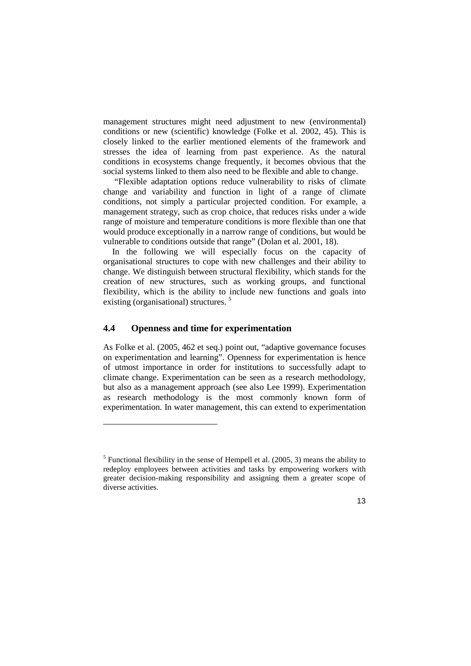management structures might need adjustment to new (environmental) conditions or new (scientific) knowledge (Folke et al. 2002, 45). This is closely linked to the earlier mentioned elements of the framework and stresses the idea of learning from past experience. As the natural conditions in ecosystems change frequently, it becomes obvious that the social systems linked to them also need to be flexible and able to change.

 "Flexible adaptation options reduce vulnerability to risks of climate change and variability and function in light of a range of climate conditions, not simply a particular projected condition. For example, a management strategy, such as crop choice, that reduces risks under a wide range of moisture and temperature conditions is more flexible than one that would produce exceptionally in a narrow range of conditions, but would be vulnerable to conditions outside that range" (Dolan et al. 2001, 18).

In the following we will especially focus on the capacity of organisational structures to cope with new challenges and their ability to change. We distinguish between structural flexibility, which stands for the creation of new structures, such as working groups, and functional flexibility, which is the ability to include new functions and goals into existing (organisational) structures. <sup>5</sup>

## **4.4 Openness and time for experimentation**

 $\overline{a}$ 

As Folke et al. (2005, 462 et seq.) point out, "adaptive governance focuses on experimentation and learning". Openness for experimentation is hence of utmost importance in order for institutions to successfully adapt to climate change. Experimentation can be seen as a research methodology, but also as a management approach (see also Lee 1999). Experimentation as research methodology is the most commonly known form of experimentation. In water management, this can extend to experimentation

<sup>&</sup>lt;sup>5</sup> Functional flexibility in the sense of Hempell et al.  $(2005, 3)$  means the ability to redeploy employees between activities and tasks by empowering workers with greater decision-making responsibility and assigning them a greater scope of diverse activities.

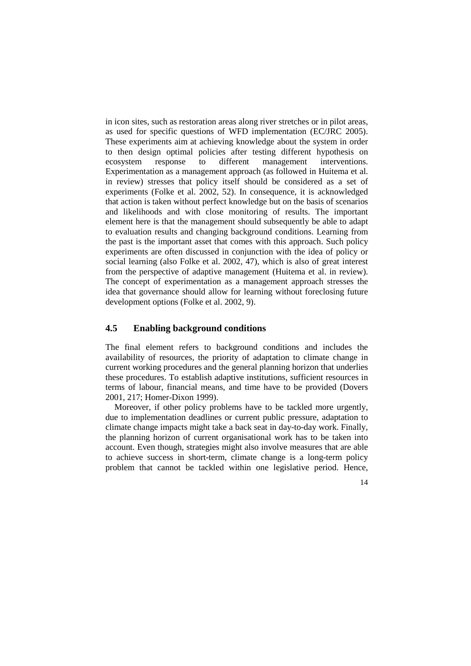in icon sites, such as restoration areas along river stretches or in pilot areas, as used for specific questions of WFD implementation (EC/JRC 2005). These experiments aim at achieving knowledge about the system in order to then design optimal policies after testing different hypothesis on ecosystem response to different management interventions. Experimentation as a management approach (as followed in Huitema et al. in review) stresses that policy itself should be considered as a set of experiments (Folke et al. 2002, 52). In consequence, it is acknowledged that action is taken without perfect knowledge but on the basis of scenarios and likelihoods and with close monitoring of results. The important element here is that the management should subsequently be able to adapt to evaluation results and changing background conditions. Learning from the past is the important asset that comes with this approach. Such policy experiments are often discussed in conjunction with the idea of policy or social learning (also Folke et al. 2002, 47), which is also of great interest from the perspective of adaptive management (Huitema et al. in review). The concept of experimentation as a management approach stresses the idea that governance should allow for learning without foreclosing future development options (Folke et al. 2002, 9).

## **4.5 Enabling background conditions**

The final element refers to background conditions and includes the availability of resources, the priority of adaptation to climate change in current working procedures and the general planning horizon that underlies these procedures. To establish adaptive institutions, sufficient resources in terms of labour, financial means, and time have to be provided (Dovers 2001, 217; Homer-Dixon 1999).

Moreover, if other policy problems have to be tackled more urgently, due to implementation deadlines or current public pressure, adaptation to climate change impacts might take a back seat in day-to-day work. Finally, the planning horizon of current organisational work has to be taken into account. Even though, strategies might also involve measures that are able to achieve success in short-term, climate change is a long-term policy problem that cannot be tackled within one legislative period. Hence,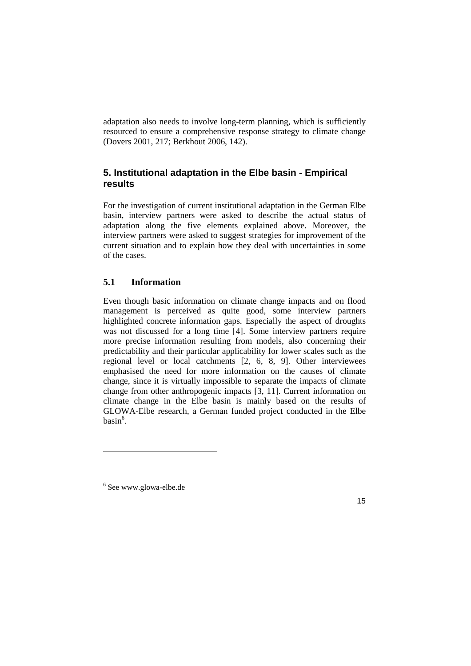adaptation also needs to involve long-term planning, which is sufficiently resourced to ensure a comprehensive response strategy to climate change (Dovers 2001, 217; Berkhout 2006, 142).

## **5. Institutional adaptation in the Elbe basin - Empirical results**

For the investigation of current institutional adaptation in the German Elbe basin, interview partners were asked to describe the actual status of adaptation along the five elements explained above. Moreover, the interview partners were asked to suggest strategies for improvement of the current situation and to explain how they deal with uncertainties in some of the cases.

## **5.1 Information**

Even though basic information on climate change impacts and on flood management is perceived as quite good, some interview partners highlighted concrete information gaps. Especially the aspect of droughts was not discussed for a long time [4]. Some interview partners require more precise information resulting from models, also concerning their predictability and their particular applicability for lower scales such as the regional level or local catchments [2, 6, 8, 9]. Other interviewees emphasised the need for more information on the causes of climate change, since it is virtually impossible to separate the impacts of climate change from other anthropogenic impacts [3, 11]. Current information on climate change in the Elbe basin is mainly based on the results of GLOWA-Elbe research, a German funded project conducted in the Elbe  $basin^6$ .

 $\overline{a}$ 

<sup>6</sup> See www.glowa-elbe.de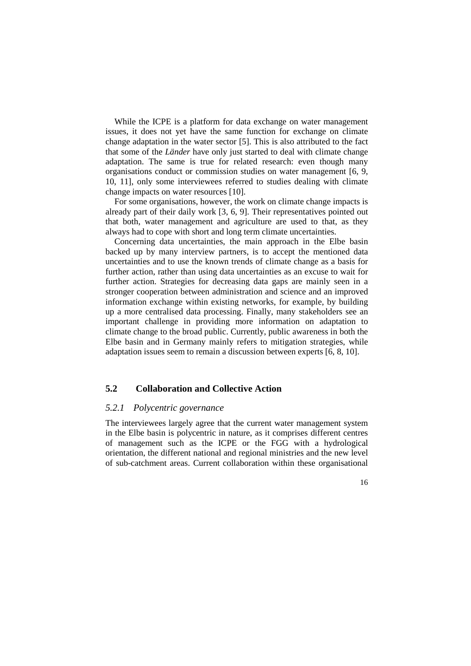While the ICPE is a platform for data exchange on water management issues, it does not yet have the same function for exchange on climate change adaptation in the water sector [5]. This is also attributed to the fact that some of the *Länder* have only just started to deal with climate change adaptation. The same is true for related research: even though many organisations conduct or commission studies on water management [6, 9, 10, 11], only some interviewees referred to studies dealing with climate change impacts on water resources [10].

For some organisations, however, the work on climate change impacts is already part of their daily work [3, 6, 9]. Their representatives pointed out that both, water management and agriculture are used to that, as they always had to cope with short and long term climate uncertainties.

Concerning data uncertainties, the main approach in the Elbe basin backed up by many interview partners, is to accept the mentioned data uncertainties and to use the known trends of climate change as a basis for further action, rather than using data uncertainties as an excuse to wait for further action. Strategies for decreasing data gaps are mainly seen in a stronger cooperation between administration and science and an improved information exchange within existing networks, for example, by building up a more centralised data processing. Finally, many stakeholders see an important challenge in providing more information on adaptation to climate change to the broad public. Currently, public awareness in both the Elbe basin and in Germany mainly refers to mitigation strategies, while adaptation issues seem to remain a discussion between experts [6, 8, 10].

## **5.2 Collaboration and Collective Action**

#### *5.2.1 Polycentric governance*

The interviewees largely agree that the current water management system in the Elbe basin is polycentric in nature, as it comprises different centres of management such as the ICPE or the FGG with a hydrological orientation, the different national and regional ministries and the new level of sub-catchment areas. Current collaboration within these organisational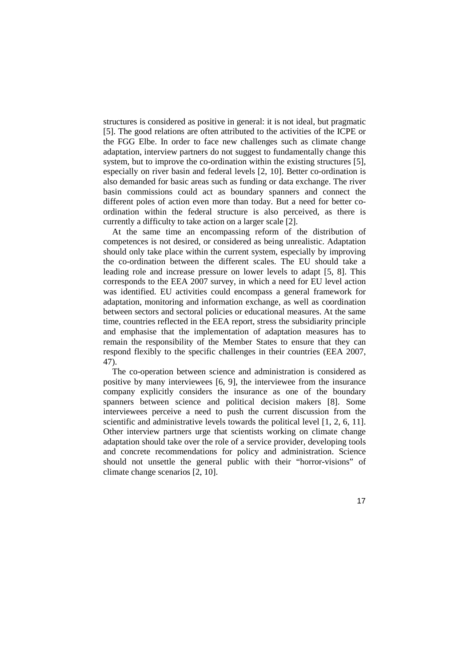structures is considered as positive in general: it is not ideal, but pragmatic [5]. The good relations are often attributed to the activities of the ICPE or the FGG Elbe. In order to face new challenges such as climate change adaptation, interview partners do not suggest to fundamentally change this system, but to improve the co-ordination within the existing structures [5], especially on river basin and federal levels [2, 10]. Better co-ordination is also demanded for basic areas such as funding or data exchange. The river basin commissions could act as boundary spanners and connect the different poles of action even more than today. But a need for better coordination within the federal structure is also perceived, as there is currently a difficulty to take action on a larger scale [2].

At the same time an encompassing reform of the distribution of competences is not desired, or considered as being unrealistic. Adaptation should only take place within the current system, especially by improving the co-ordination between the different scales. The EU should take a leading role and increase pressure on lower levels to adapt [5, 8]. This corresponds to the EEA 2007 survey, in which a need for EU level action was identified. EU activities could encompass a general framework for adaptation, monitoring and information exchange, as well as coordination between sectors and sectoral policies or educational measures. At the same time, countries reflected in the EEA report, stress the subsidiarity principle and emphasise that the implementation of adaptation measures has to remain the responsibility of the Member States to ensure that they can respond flexibly to the specific challenges in their countries (EEA 2007, 47).

The co-operation between science and administration is considered as positive by many interviewees [6, 9], the interviewee from the insurance company explicitly considers the insurance as one of the boundary spanners between science and political decision makers [8]. Some interviewees perceive a need to push the current discussion from the scientific and administrative levels towards the political level [1, 2, 6, 11]. Other interview partners urge that scientists working on climate change adaptation should take over the role of a service provider, developing tools and concrete recommendations for policy and administration. Science should not unsettle the general public with their "horror-visions" of climate change scenarios [2, 10].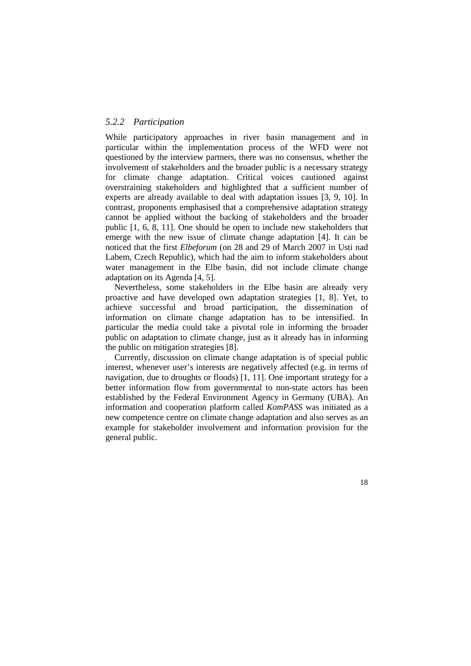#### *5.2.2 Participation*

While participatory approaches in river basin management and in particular within the implementation process of the WFD were not questioned by the interview partners, there was no consensus, whether the involvement of stakeholders and the broader public is a necessary strategy for climate change adaptation. Critical voices cautioned against overstraining stakeholders and highlighted that a sufficient number of experts are already available to deal with adaptation issues [3, 9, 10]. In contrast, proponents emphasised that a comprehensive adaptation strategy cannot be applied without the backing of stakeholders and the broader public [1, 6, 8, 11]. One should be open to include new stakeholders that emerge with the new issue of climate change adaptation [4]. It can be noticed that the first *Elbeforum* (on 28 and 29 of March 2007 in Usti nad Labem, Czech Republic), which had the aim to inform stakeholders about water management in the Elbe basin, did not include climate change adaptation on its Agenda [4, 5].

Nevertheless, some stakeholders in the Elbe basin are already very proactive and have developed own adaptation strategies [1, 8]. Yet, to achieve successful and broad participation, the dissemination of information on climate change adaptation has to be intensified. In particular the media could take a pivotal role in informing the broader public on adaptation to climate change, just as it already has in informing the public on mitigation strategies [8].

Currently, discussion on climate change adaptation is of special public interest, whenever user's interests are negatively affected (e.g. in terms of navigation, due to droughts or floods) [1, 11]. One important strategy for a better information flow from governmental to non-state actors has been established by the Federal Environment Agency in Germany (UBA). An information and cooperation platform called *KomPASS* was initiated as a new competence centre on climate change adaptation and also serves as an example for stakeholder involvement and information provision for the general public.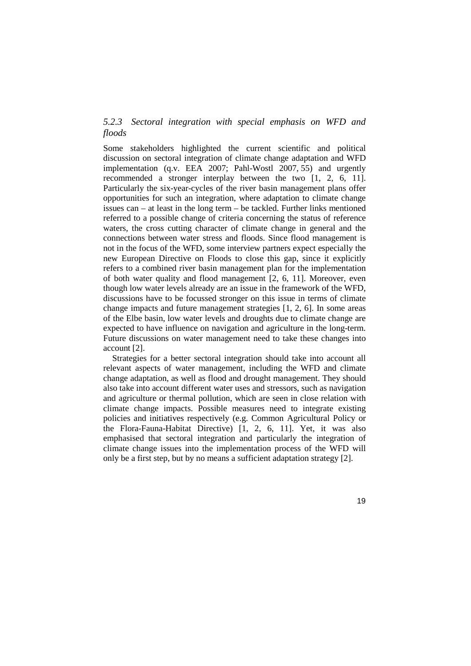## *5.2.3 Sectoral integration with special emphasis on WFD and floods*

Some stakeholders highlighted the current scientific and political discussion on sectoral integration of climate change adaptation and WFD implementation (q.v. EEA 2007; Pahl-Wostl 2007, 55) and urgently recommended a stronger interplay between the two [1, 2, 6, 11]. Particularly the six-year-cycles of the river basin management plans offer opportunities for such an integration, where adaptation to climate change issues can – at least in the long term – be tackled. Further links mentioned referred to a possible change of criteria concerning the status of reference waters, the cross cutting character of climate change in general and the connections between water stress and floods. Since flood management is not in the focus of the WFD, some interview partners expect especially the new European Directive on Floods to close this gap, since it explicitly refers to a combined river basin management plan for the implementation of both water quality and flood management [2, 6, 11]. Moreover, even though low water levels already are an issue in the framework of the WFD, discussions have to be focussed stronger on this issue in terms of climate change impacts and future management strategies [1, 2, 6]. In some areas of the Elbe basin, low water levels and droughts due to climate change are expected to have influence on navigation and agriculture in the long-term. Future discussions on water management need to take these changes into account [2].

Strategies for a better sectoral integration should take into account all relevant aspects of water management, including the WFD and climate change adaptation, as well as flood and drought management. They should also take into account different water uses and stressors, such as navigation and agriculture or thermal pollution, which are seen in close relation with climate change impacts. Possible measures need to integrate existing policies and initiatives respectively (e.g. Common Agricultural Policy or the Flora-Fauna-Habitat Directive) [1, 2, 6, 11]. Yet, it was also emphasised that sectoral integration and particularly the integration of climate change issues into the implementation process of the WFD will only be a first step, but by no means a sufficient adaptation strategy [2].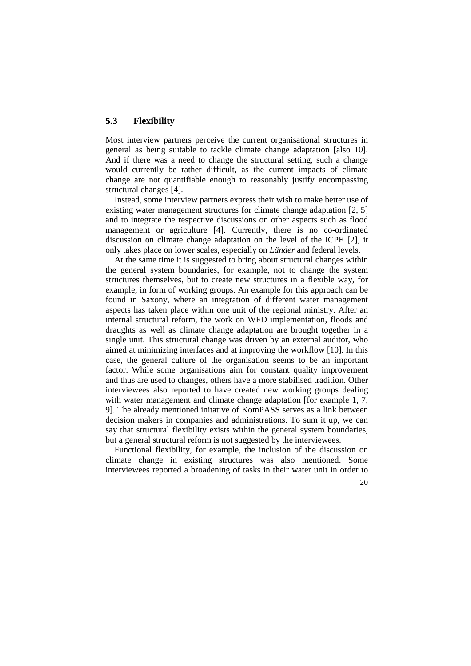## **5.3 Flexibility**

Most interview partners perceive the current organisational structures in general as being suitable to tackle climate change adaptation [also 10]. And if there was a need to change the structural setting, such a change would currently be rather difficult, as the current impacts of climate change are not quantifiable enough to reasonably justify encompassing structural changes [4].

Instead, some interview partners express their wish to make better use of existing water management structures for climate change adaptation [2, 5] and to integrate the respective discussions on other aspects such as flood management or agriculture [4]. Currently, there is no co-ordinated discussion on climate change adaptation on the level of the ICPE [2], it only takes place on lower scales, especially on *Länder* and federal levels.

At the same time it is suggested to bring about structural changes within the general system boundaries, for example, not to change the system structures themselves, but to create new structures in a flexible way, for example, in form of working groups. An example for this approach can be found in Saxony, where an integration of different water management aspects has taken place within one unit of the regional ministry. After an internal structural reform, the work on WFD implementation, floods and draughts as well as climate change adaptation are brought together in a single unit. This structural change was driven by an external auditor, who aimed at minimizing interfaces and at improving the workflow [10]. In this case, the general culture of the organisation seems to be an important factor. While some organisations aim for constant quality improvement and thus are used to changes, others have a more stabilised tradition. Other interviewees also reported to have created new working groups dealing with water management and climate change adaptation [for example 1, 7, 9]. The already mentioned initative of KomPASS serves as a link between decision makers in companies and administrations. To sum it up, we can say that structural flexibility exists within the general system boundaries, but a general structural reform is not suggested by the interviewees.

Functional flexibility, for example, the inclusion of the discussion on climate change in existing structures was also mentioned. Some interviewees reported a broadening of tasks in their water unit in order to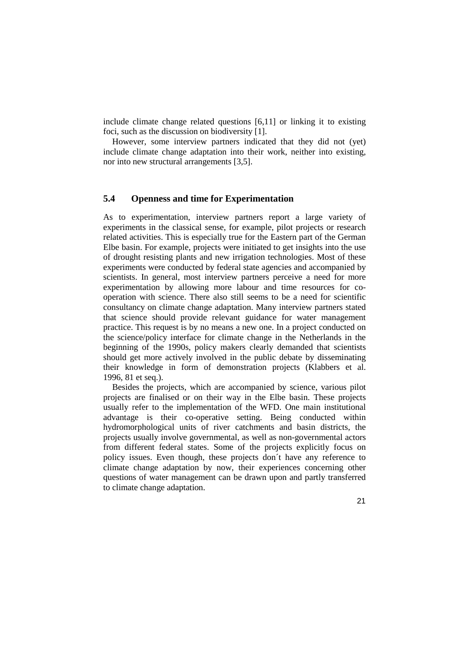include climate change related questions [6,11] or linking it to existing foci, such as the discussion on biodiversity [1].

However, some interview partners indicated that they did not (yet) include climate change adaptation into their work, neither into existing, nor into new structural arrangements [3,5].

#### **5.4 Openness and time for Experimentation**

As to experimentation, interview partners report a large variety of experiments in the classical sense, for example, pilot projects or research related activities. This is especially true for the Eastern part of the German Elbe basin. For example, projects were initiated to get insights into the use of drought resisting plants and new irrigation technologies. Most of these experiments were conducted by federal state agencies and accompanied by scientists. In general, most interview partners perceive a need for more experimentation by allowing more labour and time resources for cooperation with science. There also still seems to be a need for scientific consultancy on climate change adaptation. Many interview partners stated that science should provide relevant guidance for water management practice. This request is by no means a new one. In a project conducted on the science/policy interface for climate change in the Netherlands in the beginning of the 1990s, policy makers clearly demanded that scientists should get more actively involved in the public debate by disseminating their knowledge in form of demonstration projects (Klabbers et al. 1996, 81 et seq.).

Besides the projects, which are accompanied by science, various pilot projects are finalised or on their way in the Elbe basin. These projects usually refer to the implementation of the WFD. One main institutional advantage is their co-operative setting. Being conducted within hydromorphological units of river catchments and basin districts, the projects usually involve governmental, as well as non-governmental actors from different federal states. Some of the projects explicitly focus on policy issues. Even though, these projects don´t have any reference to climate change adaptation by now, their experiences concerning other questions of water management can be drawn upon and partly transferred to climate change adaptation.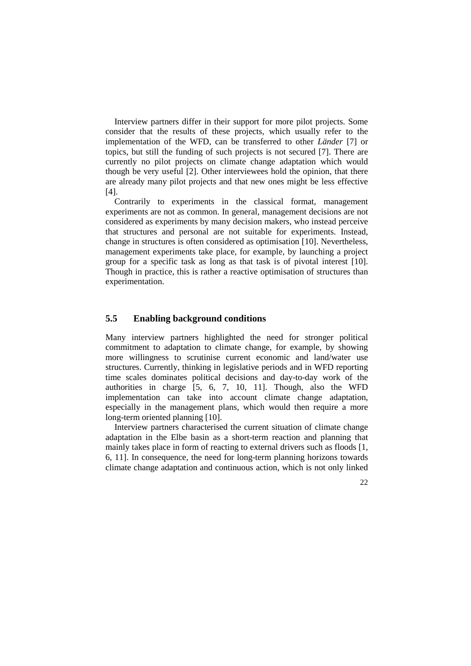Interview partners differ in their support for more pilot projects. Some consider that the results of these projects, which usually refer to the implementation of the WFD, can be transferred to other *Länder* [7] or topics, but still the funding of such projects is not secured [7]. There are currently no pilot projects on climate change adaptation which would though be very useful [2]. Other interviewees hold the opinion, that there are already many pilot projects and that new ones might be less effective [4].

Contrarily to experiments in the classical format, management experiments are not as common. In general, management decisions are not considered as experiments by many decision makers, who instead perceive that structures and personal are not suitable for experiments. Instead, change in structures is often considered as optimisation [10]. Nevertheless, management experiments take place, for example, by launching a project group for a specific task as long as that task is of pivotal interest [10]. Though in practice, this is rather a reactive optimisation of structures than experimentation.

## **5.5 Enabling background conditions**

Many interview partners highlighted the need for stronger political commitment to adaptation to climate change, for example, by showing more willingness to scrutinise current economic and land/water use structures. Currently, thinking in legislative periods and in WFD reporting time scales dominates political decisions and day-to-day work of the authorities in charge [5, 6, 7, 10, 11]. Though, also the WFD implementation can take into account climate change adaptation, especially in the management plans, which would then require a more long-term oriented planning [10].

Interview partners characterised the current situation of climate change adaptation in the Elbe basin as a short-term reaction and planning that mainly takes place in form of reacting to external drivers such as floods [1, 6, 11]. In consequence, the need for long-term planning horizons towards climate change adaptation and continuous action, which is not only linked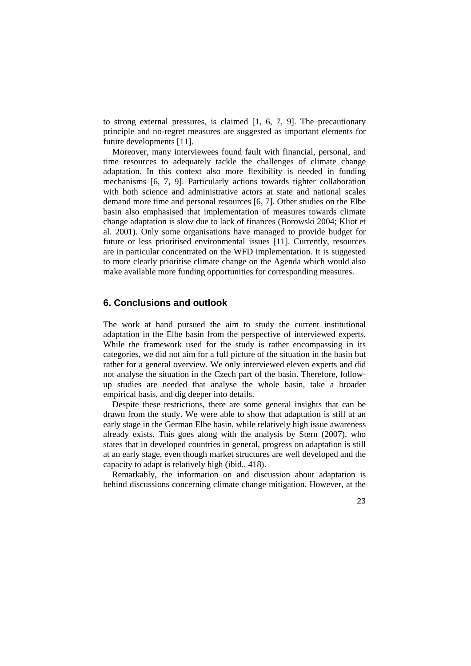to strong external pressures, is claimed [1, 6, 7, 9]. The precautionary principle and no-regret measures are suggested as important elements for future developments [11].

Moreover, many interviewees found fault with financial, personal, and time resources to adequately tackle the challenges of climate change adaptation. In this context also more flexibility is needed in funding mechanisms [6, 7, 9]. Particularly actions towards tighter collaboration with both science and administrative actors at state and national scales demand more time and personal resources [6, 7]. Other studies on the Elbe basin also emphasised that implementation of measures towards climate change adaptation is slow due to lack of finances (Borowski 2004; Kliot et al. 2001). Only some organisations have managed to provide budget for future or less prioritised environmental issues [11]. Currently, resources are in particular concentrated on the WFD implementation. It is suggested to more clearly prioritise climate change on the Agenda which would also make available more funding opportunities for corresponding measures.

## **6. Conclusions and outlook**

The work at hand pursued the aim to study the current institutional adaptation in the Elbe basin from the perspective of interviewed experts. While the framework used for the study is rather encompassing in its categories, we did not aim for a full picture of the situation in the basin but rather for a general overview. We only interviewed eleven experts and did not analyse the situation in the Czech part of the basin. Therefore, followup studies are needed that analyse the whole basin, take a broader empirical basis, and dig deeper into details.

Despite these restrictions, there are some general insights that can be drawn from the study. We were able to show that adaptation is still at an early stage in the German Elbe basin, while relatively high issue awareness already exists. This goes along with the analysis by Stern (2007), who states that in developed countries in general, progress on adaptation is still at an early stage, even though market structures are well developed and the capacity to adapt is relatively high (ibid., 418).

Remarkably, the information on and discussion about adaptation is behind discussions concerning climate change mitigation. However, at the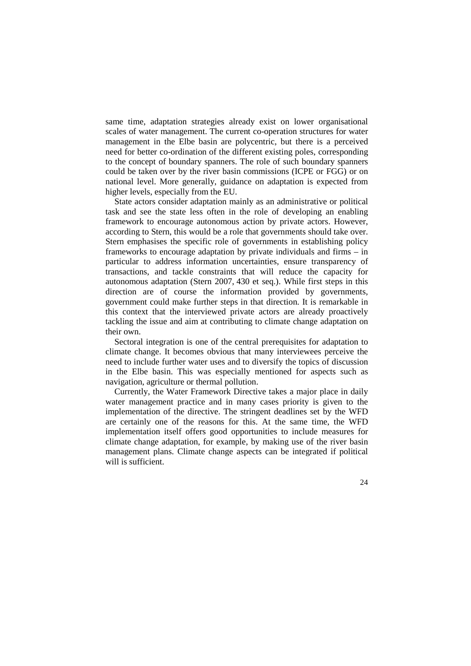same time, adaptation strategies already exist on lower organisational scales of water management. The current co-operation structures for water management in the Elbe basin are polycentric, but there is a perceived need for better co-ordination of the different existing poles, corresponding to the concept of boundary spanners. The role of such boundary spanners could be taken over by the river basin commissions (ICPE or FGG) or on national level. More generally, guidance on adaptation is expected from higher levels, especially from the EU.

State actors consider adaptation mainly as an administrative or political task and see the state less often in the role of developing an enabling framework to encourage autonomous action by private actors. However, according to Stern, this would be a role that governments should take over. Stern emphasises the specific role of governments in establishing policy frameworks to encourage adaptation by private individuals and firms – in particular to address information uncertainties, ensure transparency of transactions, and tackle constraints that will reduce the capacity for autonomous adaptation (Stern 2007, 430 et seq.). While first steps in this direction are of course the information provided by governments, government could make further steps in that direction. It is remarkable in this context that the interviewed private actors are already proactively tackling the issue and aim at contributing to climate change adaptation on their own.

Sectoral integration is one of the central prerequisites for adaptation to climate change. It becomes obvious that many interviewees perceive the need to include further water uses and to diversify the topics of discussion in the Elbe basin. This was especially mentioned for aspects such as navigation, agriculture or thermal pollution.

Currently, the Water Framework Directive takes a major place in daily water management practice and in many cases priority is given to the implementation of the directive. The stringent deadlines set by the WFD are certainly one of the reasons for this. At the same time, the WFD implementation itself offers good opportunities to include measures for climate change adaptation, for example, by making use of the river basin management plans. Climate change aspects can be integrated if political will is sufficient.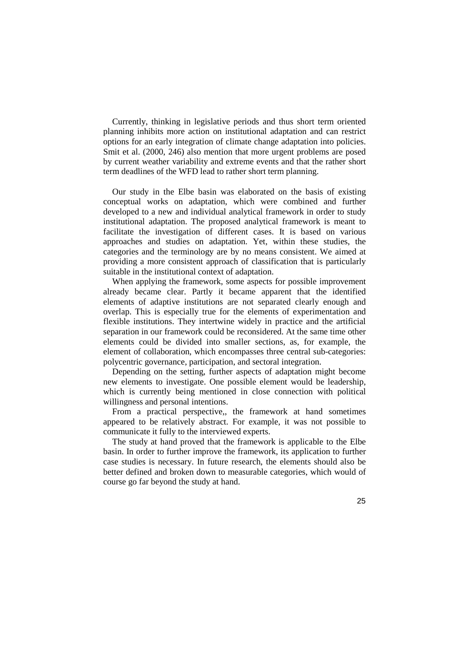Currently, thinking in legislative periods and thus short term oriented planning inhibits more action on institutional adaptation and can restrict options for an early integration of climate change adaptation into policies. Smit et al. (2000, 246) also mention that more urgent problems are posed by current weather variability and extreme events and that the rather short term deadlines of the WFD lead to rather short term planning.

Our study in the Elbe basin was elaborated on the basis of existing conceptual works on adaptation, which were combined and further developed to a new and individual analytical framework in order to study institutional adaptation. The proposed analytical framework is meant to facilitate the investigation of different cases. It is based on various approaches and studies on adaptation. Yet, within these studies, the categories and the terminology are by no means consistent. We aimed at providing a more consistent approach of classification that is particularly suitable in the institutional context of adaptation.

When applying the framework, some aspects for possible improvement already became clear. Partly it became apparent that the identified elements of adaptive institutions are not separated clearly enough and overlap. This is especially true for the elements of experimentation and flexible institutions. They intertwine widely in practice and the artificial separation in our framework could be reconsidered. At the same time other elements could be divided into smaller sections, as, for example, the element of collaboration, which encompasses three central sub-categories: polycentric governance, participation, and sectoral integration.

Depending on the setting, further aspects of adaptation might become new elements to investigate. One possible element would be leadership, which is currently being mentioned in close connection with political willingness and personal intentions.

From a practical perspective,, the framework at hand sometimes appeared to be relatively abstract. For example, it was not possible to communicate it fully to the interviewed experts.

The study at hand proved that the framework is applicable to the Elbe basin. In order to further improve the framework, its application to further case studies is necessary. In future research, the elements should also be better defined and broken down to measurable categories, which would of course go far beyond the study at hand.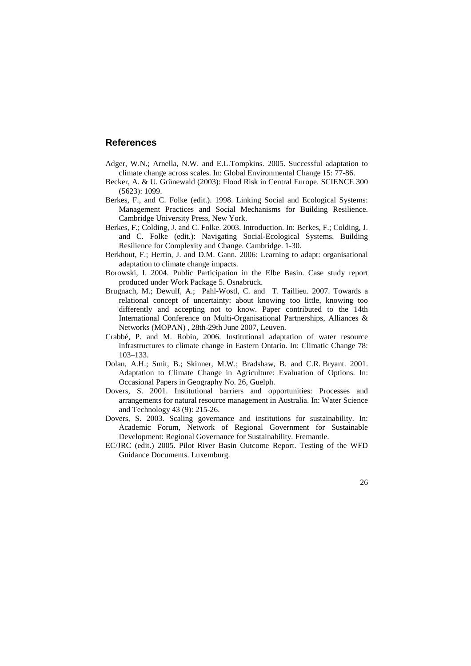## **References**

- Adger, W.N.; Arnella, N.W. and E.L.Tompkins. 2005. Successful adaptation to climate change across scales. In: Global Environmental Change 15: 77-86.
- Becker, A. & U. Grünewald (2003): Flood Risk in Central Europe. SCIENCE 300 (5623): 1099.
- Berkes, F., and C. Folke (edit.). 1998. Linking Social and Ecological Systems: Management Practices and Social Mechanisms for Building Resilience. Cambridge University Press, New York.
- Berkes, F.; Colding, J. and C. Folke. 2003. Introduction. In: Berkes, F.; Colding, J. and C. Folke (edit.): Navigating Social-Ecological Systems. Building Resilience for Complexity and Change. Cambridge. 1-30.
- Berkhout, F.; Hertin, J. and D.M. Gann. 2006: Learning to adapt: organisational adaptation to climate change impacts.
- Borowski, I. 2004. Public Participation in the Elbe Basin. Case study report produced under Work Package 5. Osnabrück.
- Brugnach, M.; Dewulf, A.; Pahl-Wostl, C. and T. Taillieu. 2007. Towards a relational concept of uncertainty: about knowing too little, knowing too differently and accepting not to know. Paper contributed to the 14th International Conference on Multi-Organisational Partnerships, Alliances & Networks (MOPAN) , 28th-29th June 2007, Leuven.
- Crabbé, P. and M. Robin, 2006. Institutional adaptation of water resource infrastructures to climate change in Eastern Ontario. In: Climatic Change 78: 103–133.
- Dolan, A.H.; Smit, B.; Skinner, M.W.; Bradshaw, B. and C.R. Bryant. 2001. Adaptation to Climate Change in Agriculture: Evaluation of Options. In: Occasional Papers in Geography No. 26, Guelph.
- Dovers, S. 2001. Institutional barriers and opportunities: Processes and arrangements for natural resource management in Australia. In: Water Science and Technology 43 (9): 215-26.
- Dovers, S. 2003. Scaling governance and institutions for sustainability. In: Academic Forum, Network of Regional Government for Sustainable Development: Regional Governance for Sustainability. Fremantle.
- EC/JRC (edit.) 2005. Pilot River Basin Outcome Report. Testing of the WFD Guidance Documents. Luxemburg.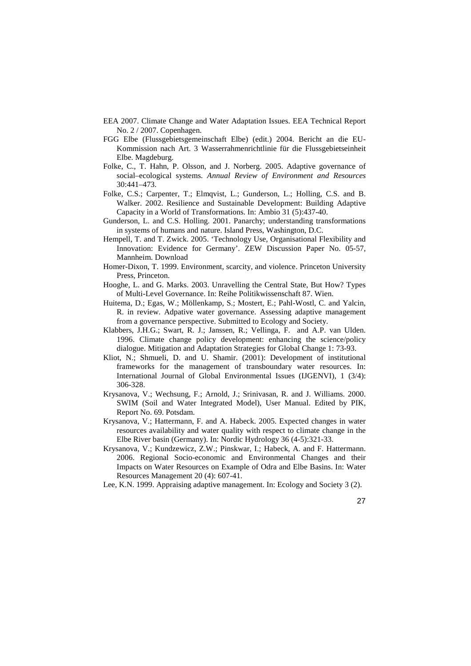- EEA 2007. Climate Change and Water Adaptation Issues. EEA Technical Report No. 2 / 2007. Copenhagen.
- FGG Elbe (Flussgebietsgemeinschaft Elbe) (edit.) 2004. Bericht an die EU-Kommission nach Art. 3 Wasserrahmenrichtlinie für die Flussgebietseinheit Elbe. Magdeburg.
- Folke, C., T. Hahn, P. Olsson, and J. Norberg. 2005. Adaptive governance of social–ecological systems. *Annual Review of Environment and Resources* 30:441–473.
- Folke, C.S.; Carpenter, T.; Elmqvist, L.; Gunderson, L.; Holling, C.S. and B. Walker. 2002. Resilience and Sustainable Development: Building Adaptive Capacity in a World of Transformations. In: Ambio 31 (5):437-40.
- Gunderson, L. and C.S. Holling. 2001. Panarchy; understanding transformations in systems of humans and nature. Island Press, Washington, D.C.
- Hempell, T. and T. Zwick. 2005. 'Technology Use, Organisational Flexibility and Innovation: Evidence for Germany'. ZEW Discussion Paper No. 05-57, Mannheim. Download
- Homer-Dixon, T. 1999. Environment, scarcity, and violence. Princeton University Press, Princeton.
- Hooghe, L. and G. Marks. 2003. Unravelling the Central State, But How? Types of Multi-Level Governance. In: Reihe Politikwissenschaft 87. Wien.
- Huitema, D.; Egas, W.; Möllenkamp, S.; Mostert, E.; Pahl-Wostl, C. and Yalcin, R. in review. Adpative water governance. Assessing adaptive management from a governance perspective. Submitted to Ecology and Society.
- Klabbers, J.H.G.; Swart, R. J.; Janssen, R.; Vellinga, F. and A.P. van Ulden. 1996. Climate change policy development: enhancing the science/policy dialogue. Mitigation and Adaptation Strategies for Global Change 1: 73-93.
- Kliot, N.; Shmueli, D. and U. Shamir. (2001): Development of institutional frameworks for the management of transboundary water resources. In: International Journal of Global Environmental Issues (IJGENVI), 1 (3/4): 306-328.
- Krysanova, V.; Wechsung, F.; Arnold, J.; Srinivasan, R. and J. Williams. 2000. SWIM (Soil and Water Integrated Model), User Manual. Edited by PIK, Report No. 69. Potsdam.
- Krysanova, V.; Hattermann, F. and A. Habeck. 2005. Expected changes in water resources availability and water quality with respect to climate change in the Elbe River basin (Germany). In: Nordic Hydrology 36 (4-5):321-33.
- Krysanova, V.; Kundzewicz, Z.W.; Pinskwar, I.; Habeck, A. and F. Hattermann. 2006. Regional Socio-economic and Environmental Changes and their Impacts on Water Resources on Example of Odra and Elbe Basins. In: Water Resources Management 20 (4): 607-41.
- Lee, K.N. 1999. Appraising adaptive management. In: Ecology and Society 3 (2).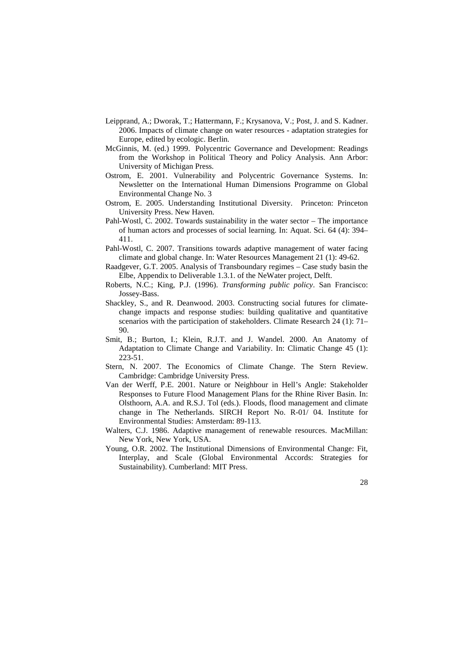- Leipprand, A.; Dworak, T.; Hattermann, F.; Krysanova, V.; Post, J. and S. Kadner. 2006. Impacts of climate change on water resources - adaptation strategies for Europe, edited by ecologic. Berlin.
- McGinnis, M. (ed.) 1999. Polycentric Governance and Development: Readings from the Workshop in Political Theory and Policy Analysis. Ann Arbor: University of Michigan Press.
- Ostrom, E. 2001. Vulnerability and Polycentric Governance Systems. In: Newsletter on the International Human Dimensions Programme on Global Environmental Change No. 3
- Ostrom, E. 2005. Understanding Institutional Diversity. Princeton: Princeton University Press. New Haven.
- Pahl-Wostl, C. 2002. Towards sustainability in the water sector The importance of human actors and processes of social learning. In: Aquat. Sci. 64 (4): 394– 411.
- Pahl-Wostl, C. 2007. Transitions towards adaptive management of water facing climate and global change. In: Water Resources Management 21 (1): 49-62.
- Raadgever, G.T. 2005. Analysis of Transboundary regimes Case study basin the Elbe, Appendix to Deliverable 1.3.1. of the NeWater project, Delft.
- Roberts, N.C.; King, P.J. (1996). *Transforming public policy*. San Francisco: Jossey-Bass.
- Shackley, S., and R. Deanwood. 2003. Constructing social futures for climatechange impacts and response studies: building qualitative and quantitative scenarios with the participation of stakeholders. Climate Research 24 (1): 71– 90.
- Smit, B.; Burton, I.; Klein, R.J.T. and J. Wandel. 2000. An Anatomy of Adaptation to Climate Change and Variability. In: Climatic Change 45 (1): 223-51.
- Stern, N. 2007. The Economics of Climate Change. The Stern Review. Cambridge: Cambridge University Press.
- Van der Werff, P.E. 2001. Nature or Neighbour in Hell's Angle: Stakeholder Responses to Future Flood Management Plans for the Rhine River Basin. In: Olsthoorn, A.A. and R.S.J. Tol (eds.). Floods, flood management and climate change in The Netherlands. SIRCH Report No. R-01/ 04. Institute for Environmental Studies: Amsterdam: 89-113.
- Walters, C.J. 1986. Adaptive management of renewable resources. MacMillan: New York, New York, USA.
- Young, O.R. 2002. The Institutional Dimensions of Environmental Change: Fit, Interplay, and Scale (Global Environmental Accords: Strategies for Sustainability). Cumberland: MIT Press.